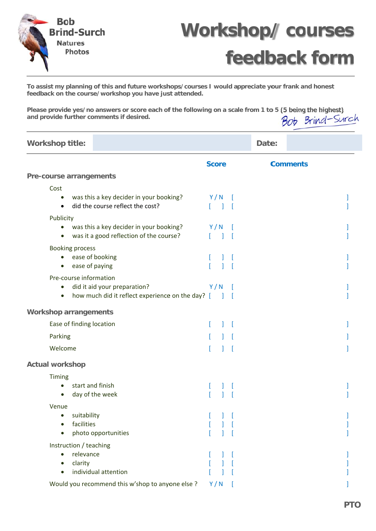



## **feedback form**

To assist my planning of this and future workshops/courses I would appreciate your frank and honest feedback on the course/workshop you have just attended.

Please provide yes/no answers or score each of the following on a scale from 1 to 5 (5 being the highest) Bob Brind-Surch and provide further comments if desired.

| <b>Workshop title:</b>                                                                                                               |                     | Date: |                 |  |
|--------------------------------------------------------------------------------------------------------------------------------------|---------------------|-------|-----------------|--|
|                                                                                                                                      | <b>Score</b>        |       | <b>Comments</b> |  |
| Pre-course arrangements                                                                                                              |                     |       |                 |  |
| Cost                                                                                                                                 |                     |       |                 |  |
| was this a key decider in your booking?<br>$\bullet$<br>did the course reflect the cost?<br>$\bullet$                                | Y/N                 |       |                 |  |
| Publicity                                                                                                                            |                     |       |                 |  |
| • was this a key decider in your booking?<br>was it a good reflection of the course?                                                 | Y/N                 |       |                 |  |
| <b>Booking process</b>                                                                                                               |                     |       |                 |  |
| • ease of booking<br>ease of paying                                                                                                  |                     |       |                 |  |
| Pre-course information<br>did it aid your preparation?<br>$\bullet$<br>how much did it reflect experience on the day? [<br>$\bullet$ | Y/N<br>$\mathbf{I}$ |       |                 |  |
| <b>Workshop arrangements</b>                                                                                                         |                     |       |                 |  |
| Ease of finding location                                                                                                             |                     |       |                 |  |
| Parking                                                                                                                              |                     |       |                 |  |
| Welcome                                                                                                                              |                     |       |                 |  |
| <b>Actual workshop</b>                                                                                                               |                     |       |                 |  |
| <b>Timing</b>                                                                                                                        |                     |       |                 |  |
| start and finish<br>$\bullet$<br>day of the week                                                                                     |                     |       |                 |  |
| Venue                                                                                                                                |                     |       |                 |  |
| suitability<br>facilities<br>photo opportunities                                                                                     |                     |       |                 |  |
| Instruction / teaching                                                                                                               |                     |       |                 |  |
| relevance<br>$\bullet$<br>clarity<br>individual attention<br>$\bullet$                                                               |                     |       |                 |  |
| Would you recommend this w'shop to anyone else ?                                                                                     | Y/N                 |       |                 |  |